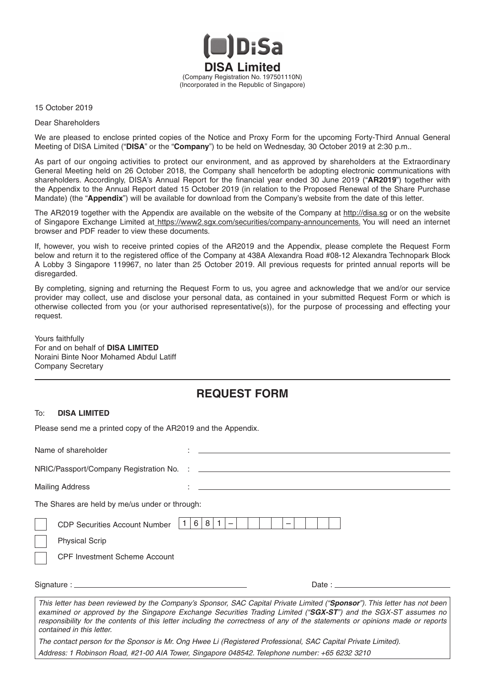

15 October 2019

Dear Shareholders

We are pleased to enclose printed copies of the Notice and Proxy Form for the upcoming Forty-Third Annual General Meeting of DISA Limited ("**DISA**" or the "**Company**") to be held on Wednesday, 30 October 2019 at 2:30 p.m..

As part of our ongoing activities to protect our environment, and as approved by shareholders at the Extraordinary General Meeting held on 26 October 2018, the Company shall henceforth be adopting electronic communications with shareholders. Accordingly, DISA's Annual Report for the financial year ended 30 June 2019 ("AR2019") together with the Appendix to the Annual Report dated 15 October 2019 (in relation to the Proposed Renewal of the Share Purchase Mandate) (the "**Appendix**") will be available for download from the Company's website from the date of this letter.

The AR2019 together with the Appendix are available on the website of the Company at http://disa.sg or on the website of Singapore Exchange Limited at https://www2.sgx.com/securities/company-announcements. You will need an internet browser and PDF reader to view these documents.

If, however, you wish to receive printed copies of the AR2019 and the Appendix, please complete the Request Form below and return it to the registered office of the Company at 438A Alexandra Road #08-12 Alexandra Technopark Block A Lobby 3 Singapore 119967, no later than 25 October 2019. All previous requests for printed annual reports will be disregarded.

By completing, signing and returning the Request Form to us, you agree and acknowledge that we and/or our service provider may collect, use and disclose your personal data, as contained in your submitted Request Form or which is otherwise collected from you (or your authorised representative(s)), for the purpose of processing and effecting your request.

Yours faithfully For and on behalf of **DISA LIMITED** Noraini Binte Noor Mohamed Abdul Latiff Company Secretary

## **REQUEST FORM**

## To: **DISA LIMITED**

Please send me a printed copy of the AR2019 and the Appendix.

Name of shareholder : NRIC/Passport/Company Registration No. : Mailing Address The Shares are held by me/us under or through: CDP Securities Account Number  $|1|6|8|1|$  – Physical Scrip CPF Investment Scheme Account Signature : Date : *This letter has been reviewed by the Company's Sponsor, SAC Capital Private Limited ("Sponsor"). This letter has not been examined or approved by the Singapore Exchange Securities Trading Limited ("SGX-ST") and the SGX-ST assumes no responsibility for the contents of this letter including the correctness of any of the statements or opinions made or reports contained in this letter.* 

*The contact person for the Sponsor is Mr. Ong Hwee Li (Registered Professional, SAC Capital Private Limited). Address: 1 Robinson Road, #21-00 AIA Tower, Singapore 048542. Telephone number: +65 6232 3210*